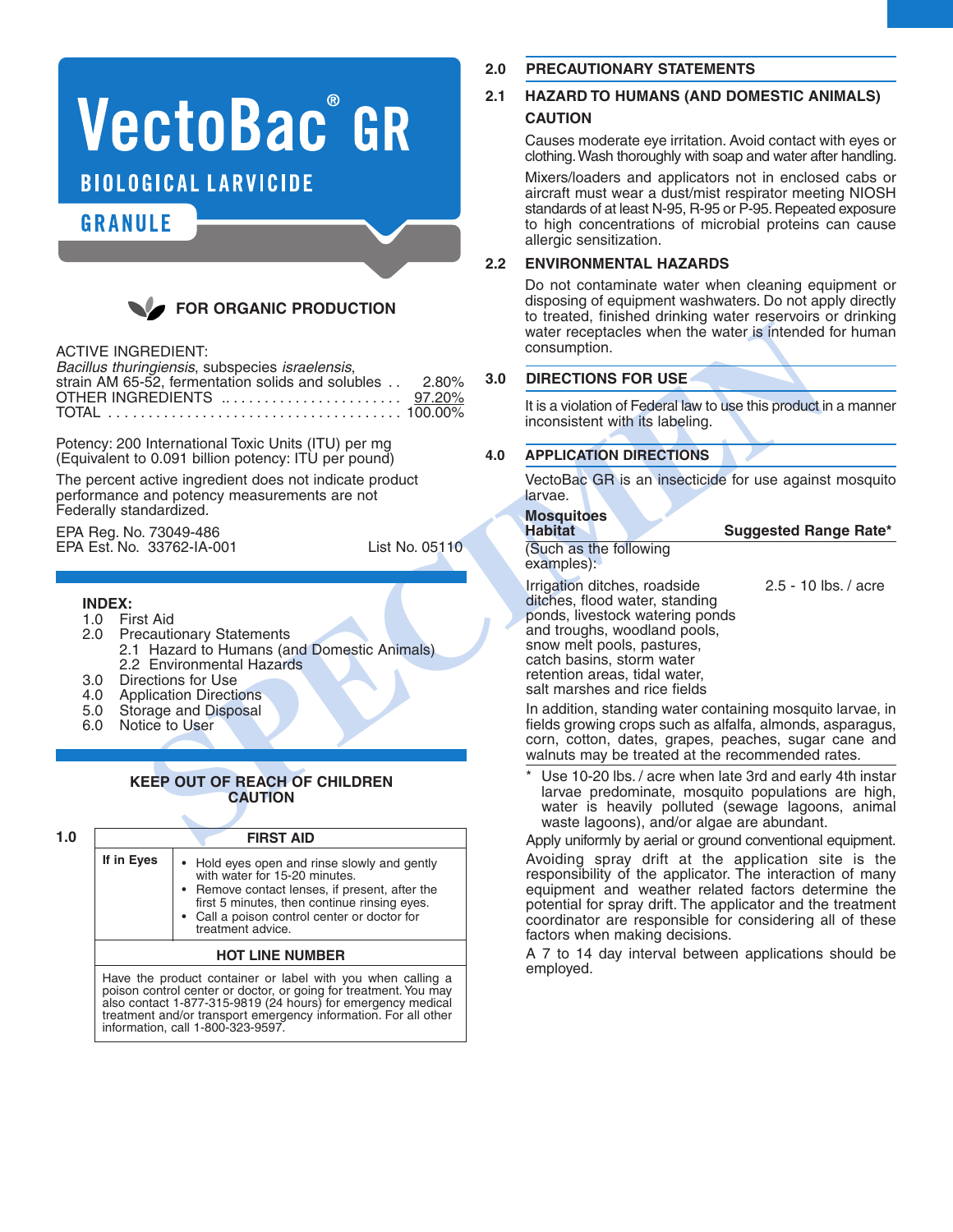# **VectoBac°GR**

**BIOLOGICAL LARVICIDE** 

## **GRANULE**



#### ACTIVE INGREDIENT:

| Bacillus thuringiensis, subspecies israelensis,         |  |
|---------------------------------------------------------|--|
| strain AM 65-52, fermentation solids and solubles 2.80% |  |
| OTHER INGREDIENTS  97.20%                               |  |
|                                                         |  |

Potency: 200 International Toxic Units (ITU) per mg (Equivalent to 0.091 billion potency: ITU per pound)

The percent active ingredient does not indicate product performance and potency measurements are not Federally standardized.

EPA Reg. No. 73049-486 EPA Est. No. 33762-IA-001 List No. 05110

#### **INDEX:**

- 1.0 First Aid
- 2.0 Precautionary Statements
- 2.1 Hazard to Humans (and Domestic Animals) 2.2 Environmental Hazards
- 3.0 Directions for Use
- 
- 4.0 Application Directions<br>5.0 Storage and Disposal 5.0 Storage and Disposal<br>6.0 Notice to User
- Notice to User

#### **KEEP OUT OF REACH OF CHILDREN CAUTION**

| 1.0 |                                                                                                                                                                                                                                                                                                      | <b>FIRST AID</b>                                                                                                                                                                                                                                     |  |  |
|-----|------------------------------------------------------------------------------------------------------------------------------------------------------------------------------------------------------------------------------------------------------------------------------------------------------|------------------------------------------------------------------------------------------------------------------------------------------------------------------------------------------------------------------------------------------------------|--|--|
|     | If in Eyes                                                                                                                                                                                                                                                                                           | • Hold eyes open and rinse slowly and gently<br>with water for 15-20 minutes.<br>• Remove contact lenses, if present, after the<br>first 5 minutes, then continue rinsing eyes.<br>• Call a poison control center or doctor for<br>treatment advice. |  |  |
|     | <b>HOT LINE NUMBER</b>                                                                                                                                                                                                                                                                               |                                                                                                                                                                                                                                                      |  |  |
|     | Have the product container or label with you when calling a<br>poison control center or doctor, or going for treatment. You may<br>also contact 1-877-315-9819 (24 hours) for emergency medical treatment and/or transport emergency information. For all other<br>information, call 1-800-323-9597. |                                                                                                                                                                                                                                                      |  |  |

## **2.0 PRECAUTIONARY STATEMENTS**

#### **2.1 HAZARD TO HUMANS (AND DOMESTIC ANIMALS) CAUTION**

Causes moderate eye irritation. Avoid contact with eyes or clothing.Wash thoroughly with soap and water after handling.

Mixers/loaders and applicators not in enclosed cabs or aircraft must wear a dust/mist respirator meeting NIOSH standards of at least N-95, R-95 or P-95. Repeated exposure to high concentrations of microbial proteins can cause allergic sensitization.

#### **2.2 ENVIRONMENTAL HAZARDS**

Do not contaminate water when cleaning equipment or disposing of equipment washwaters. Do not apply directly to treated, finished drinking water reservoirs or drinking water receptacles when the water is intended for human consumption.

### **3.0 DIRECTIONS FOR USE**

It is a violation of Federal law to use this product in a manner inconsistent with its labeling.

## **4.0 APPLICATION DIRECTIONS**

VectoBac GR is an insecticide for use against mosquito larvae.

# **Mosquitoes**

(Such as the following examples):

**SPEINTENT:**<br>
Secret and the state intended to the state intended to the set of the set of the set of the set of the set of the set of the set of the set of the set of the set of the set of the set of the set of the set of Irrigation ditches, roadside 2.5 - 10 lbs. / acre ditches, flood water, standing ponds, livestock watering ponds and troughs, woodland pools, snow melt pools, pastures, catch basins, storm water retention areas, tidal water, salt marshes and rice fields

**Habitat Suggested Range Rate\***

In addition, standing water containing mosquito larvae, in fields growing crops such as alfalfa, almonds, asparagus, corn, cotton, dates, grapes, peaches, sugar cane and walnuts may be treated at the recommended rates.

Use 10-20 lbs. / acre when late 3rd and early 4th instar larvae predominate, mosquito populations are high, water is heavily polluted (sewage lagoons, animal waste lagoons), and/or algae are abundant.

Apply uniformly by aerial or ground conventional equipment. Avoiding spray drift at the application site is the responsibility of the applicator. The interaction of many equipment and weather related factors determine the potential for spray drift. The applicator and the treatment coordinator are responsible for considering all of these factors when making decisions.

A 7 to 14 day interval between applications should be employed.